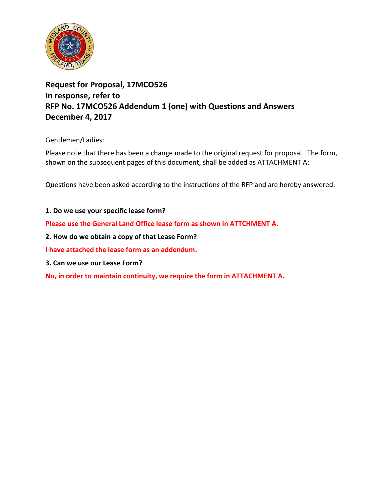

**Request for Proposal, 17MCO526 In response, refer to RFP No. 17MCO526 Addendum 1 (one) with Questions and Answers December 4, 2017**

# Gentlemen/Ladies:

Please note that there has been a change made to the original request for proposal. The form, shown on the subsequent pages of this document, shall be added as ATTACHMENT A:

Questions have been asked according to the instructions of the RFP and are hereby answered.

# **1. Do we use your specific lease form?**

**Please use the General Land Office lease form as shown in ATTCHMENT A.**

# **2. How do we obtain a copy of that Lease Form?**

**I have attached the lease form as an addendum.**

**3. Can we use our Lease Form?**

**No, in order to maintain continuity, we require the form in ATTACHMENT A.**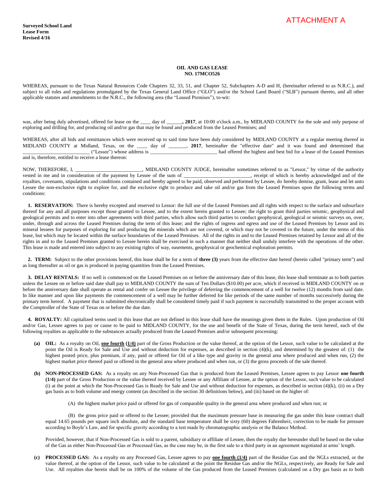#### **OIL AND GAS LEASE NO. 17MCO526**

WHEREAS, pursuant to the Texas Natural Resources Code Chapters 32, 33, 51, and Chapter 52, Subchapters A-D and H, (hereinafter referred to as N.R.C.), and subject to all rules and regulations promulgated by the Texas General Land Office ("GLO") and/or the School Land Board ("SLB") pursuant thereto, and all other applicable statutes and amendments to the N.R.C., the following area (the "Leased Premises"), to-wit:

was, after being duly advertised, offered for lease on the \_\_\_\_ day of \_\_\_\_\_\_, 2017, at 10:00 o'clock a.m., by MIDLAND COUNTY for the sole and only purpose of exploring and drilling for, and producing oil and/or gas that may be found and produced from the Leased Premises; and

WHEREAS, after all bids and remittances which were received up to said time have been duly considered by MIDLAND COUNTY at a regular meeting thereof in MIDLAND COUNTY at Midland, Texas, on the \_\_\_\_ day of \_\_\_\_\_\_\_, **2017**, hereinafter the "effective date" and it was found and determined that \_\_\_\_\_\_\_\_\_\_\_\_\_\_\_\_\_\_\_\_\_\_\_\_\_\_ ("Lessee") whose address is \_\_\_\_\_\_\_\_\_\_\_\_\_\_\_\_\_\_\_\_\_\_\_\_\_\_ had offered the highest and best bid for a lease of the Leased Premises and is, therefore, entitled to receive a lease thereon:

NOW, THEREFORE, I, \_\_\_\_\_\_\_\_\_\_\_\_\_\_\_\_\_\_\_\_\_\_\_\_\_\_, MIDLAND COUNTY JUDGE, hereinafter sometimes referred to as "Lessor," by virtue of the authority vested in me and in consideration of the payment by Lessee of the sum of \_\_\_\_\_\_\_\_\_\_\_\_\_\_\_\_\_\_\_\_\_\_\_\_\_\_, receipt of which is hereby acknowledged and of the royalties, covenants, stipulations and conditions contained and hereby agreed to be paid, observed and performed by Lessee, do hereby demise, grant, lease and let unto Lessee the non-exclusive right to explore for, and the exclusive right to produce and take oil and/or gas from the Leased Premises upon the following terms and conditions:

 **1. RESERVATION:** There is hereby excepted and reserved to Lessor: the full use of the Leased Premises and all rights with respect to the surface and subsurface thereof for any and all purposes except those granted to Lessee, and to the extent herein granted to Lessee; the right to grant third parties seismic, geophysical and geological permits and to enter into other agreements with third parties, which allow such third parties to conduct geophysical, geological or seismic surveys on, over, under, through and across the Leased Premises during the term of this lease; and the rights of ingress and egress and use of the Leased Premises by Lessor and its mineral lessees for purposes of exploring for and producing the minerals which are not covered, or which may not be covered in the future, under the terms of this lease, but which may be located within the surface boundaries of the Leased Premises. All of the rights in and to the Leased Premises retained by Lessor and all of the rights in and to the Leased Premises granted to Lessee herein shall be exercised in such a manner that neither shall unduly interfere with the operations of the other. This lease is made and entered into subject to any existing rights of way, easements, geophysical or geochemical exploration permits.

 **2. TERM:** Subject to the other provisions hereof, this lease shall be for a term of **three (3)** years from the effective date hereof (herein called "primary term") and as long thereafter as oil or gas is produced in paying quantities from the Leased Premises.

 **3. DELAY RENTALS:** If no well is commenced on the Leased Premises on or before the anniversary date of this lease, this lease shall terminate as to both parties unless the Lessee on or before said date shall pay to MIDLAND COUNTY the sum of Ten Dollars (\$10.00) per acre, which if received in MIDLAND COUNTY on or before the anniversary date shall operate as rental and confer on Lessee the privilege of deferring the commencement of a well for twelve (12) months from said date. In like manner and upon like payments the commencement of a well may be further deferred for like periods of the same number of months successively during the primary term hereof. A payment that is submitted electronically shall be considered timely paid if such payment is successfully transmitted to the proper account with the Comptroller of the State of Texas on or before the due date.

 **4. ROYALTY:** All capitalized terms used in this lease that are not defined in this lease shall have the meanings given them in the Rules. Upon production of Oil and/or Gas, Lessee agrees to pay or cause to be paid to MIDLAND COUNTY, for the use and benefit of the State of Texas, during the term hereof, each of the following royalties as applicable to the substances actually produced from the Leased Premises and/or subsequent processing:

- **(a) OIL:** As a royalty on Oil, **one fourth (1/4)** part of the Gross Production or the value thereof, at the option of the Lessor, such value to be calculated at the point the Oil is Ready for Sale and Use and without deduction for expenses, as described in section (4)(k), and determined by the greatest of: (1) the highest posted price, plus premium, if any, paid or offered for Oil of a like type and gravity in the general area where produced and when run, (2) the highest market price thereof paid or offered in the general area where produced and when run, or (3) the gross proceeds of the sale thereof.
- **(b) NON-PROCESSED GAS:** As a royalty on any Non-Processed Gas that is produced from the Leased Premises, Lessee agrees to pay Lessor **one fourth (1/4)** part of the Gross Production or the value thereof received by Lessee or any Affiliate of Lessee, at the option of the Lessor, such value to be calculated (i) at the point at which the Non-Processed Gas is Ready for Sale and Use and without deduction for expenses, as described in section (4)(k), (ii) on a Dry gas basis as to both volume and energy content (as described in the section 30 definitions below), and (iii) based on the higher of:
	- (A) the highest market price paid or offered for gas of comparable quality in the general area where produced and when run; or

(B) the gross price paid or offered to the Lessee; provided that the maximum pressure base in measuring the gas under this lease contract shall equal 14.65 pounds per square inch absolute, and the standard base temperature shall be sixty (60) degrees Fahrenheit, correction to be made for pressure according to Boyle's Law, and for specific gravity according to a test made by chromatographic analysis or the Balance Method.

Provided, however, that if Non-Processed Gas is sold to a parent, subsidiary or affiliate of Lessee, then the royalty due hereunder shall be based on the value of the Gas as either Non-Processed Gas or Processed Gas, as the case may be, in the first sale to a third party in an agreement negotiated at arms' length.

**(c) PROCESSED GAS:** As a royalty on any Processed Gas, Lessee agrees to pay **one fourth (1/4)** part of the Residue Gas and the NGLs extracted, or the value thereof, at the option of the Lessor, such value to be calculated at the point the Residue Gas and/or the NGLs, respectively, are Ready for Sale and Use. All royalties due herein shall be on 100% of the volume of the Gas produced from the Leased Premises (calculated on a Dry gas basis as to both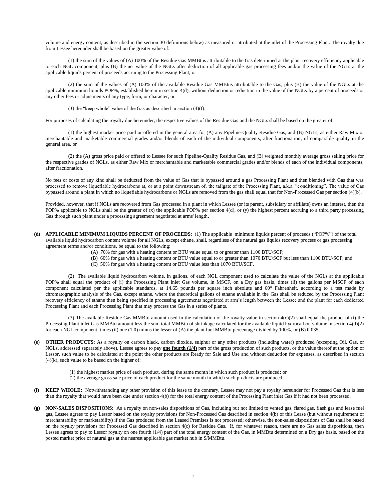volume and energy content, as described in the section 30 definitions below) as measured or attributed at the inlet of the Processing Plant. The royalty due from Lessee hereunder shall be based on the greater value of:

(1) the sum of the values of (A) 100% of the Residue Gas MMBtus attributable to the Gas determined at the plant recovery efficiency applicable to each NGL component, plus (B) the net value of the NGLs after deduction of all applicable gas processing fees and/or the value of the NGLs at the applicable liquids percent of proceeds accruing to the Processing Plant; or

(2) the sum of the values of (A) 100% of the available Residue Gas MMBtus attributable to the Gas, plus (B) the value of the NGLs at the applicable minimum liquids POP%, established herein in section 4(d), without deduction or reduction in the value of the NGLs by a percent of proceeds or any other fees or adjustments of any type, form, or character; or

(3) the "keep whole" value of the Gas as described in section  $(4)(f)$ .

For purposes of calculating the royalty due hereunder, the respective values of the Residue Gas and the NGLs shall be based on the greater of:

(1) the highest market price paid or offered in the general area for (A) any Pipeline-Quality Residue Gas, and (B) NGLs, as either Raw Mix or merchantable and marketable commercial grades and/or blends of each of the individual components, after fractionation, of comparable quality in the general area, or

(2) the (A) gross price paid or offered to Lessee for such Pipeline-Quality Residue Gas, and (B) weighted monthly average gross selling price for the respective grades of NGLs, as either Raw Mix or merchantable and marketable commercial grades and/or blends of each of the individual components, after fractionation.

No fees or costs of any kind shall be deducted from the value of Gas that is bypassed around a gas Processing Plant and then blended with Gas that was processed to remove liquefiable hydrocarbons at, or at a point downstream of, the tailgate of the Processing Plant, a.k.a. "conditioning". The value of Gas bypassed around a plant in which no liquefiable hydrocarbons or NGLs are removed from the gas shall equal that for Non-Processed Gas per section (4)(b).

Provided, however, that if NGLs are recovered from Gas processed in a plant in which Lessee (or its parent, subsidiary or affiliate) owns an interest, then the POP% applicable to NGLs shall be the greater of (x) the applicable POP% per section  $4(d)$ , or (y) the highest percent accruing to a third party processing Gas through such plant under a processing agreement negotiated at arms' length.

- **(d) APPLICABLE MINIMUM LIQUIDS PERCENT OF PROCEEDS:** (1) The applicable minimum liquids percent of proceeds ("POP%") of the total available liquid hydrocarbon content volume for all NGLs, except ethane, shall, regardless of the natural gas liquids recovery process or gas processing agreement terms and/or conditions, be equal to the following:
	- (A) 70% for gas with a heating content or BTU value equal to or greater than 1100 BTU/SCF;
	- (B) 60% for gas with a heating content or BTU value equal to or greater than 1070 BTU/SCF but less than 1100 BTU/SCF; and
	- (C) 50% for gas with a heating content or BTU value less than 1070 BTU/SCF.

(2) The available liquid hydrocarbon volume, in gallons, of each NGL component used to calculate the value of the NGLs at the applicable POP% shall equal the product of (i) the Processing Plant inlet Gas volume, in MSCF, on a Dry gas basis, times (ii) the gallons per MSCF of each component calculated per the applicable standards, at 14.65 pounds per square inch absolute and 60° Fahrenheit, according to a test made by chromatographic analysis of the Gas, except ethane, where the theoretical gallons of ethane available in the Gas shall be reduced by the Processing Plant recovery efficiency of ethane then being specified in processing agreements negotiated at arm's length between the Lessee and the plant for each dedicated Processing Plant and each Processing Plant that may process the Gas in a series of plants.

(3) The available Residue Gas MMBtu amount used in the calculation of the royalty value in section  $4(c)(2)$  shall equal the product of (i) the Processing Plant inlet Gas MMBtu amount less the sum total MMBtu of shrinkage calculated for the available liquid hydrocarbon volume in section 4(d)(2) for each NGL component, times (ii) one (1.0) minus the lesser of (A) the plant fuel MMBtu percentage divided by 100%, or (B) 0.035.

**(e) OTHER PRODUCTS:** As a royalty on carbon black, carbon dioxide, sulphur or any other products (including water) produced (excepting Oil, Gas, or NGLs, addressed separately above), Lessee agrees to pay **one fourth (1/4)** part of the gross production of such products, or the value thereof at the option of Lessor, such value to be calculated at the point the other products are Ready for Sale and Use and without deduction for expenses, as described in section  $(4)(k)$ , such value to be based on the higher of:

> (1) the highest market price of each product, during the same month in which such product is produced; or (2) the average gross sale price of each product for the same month in which such products are produced.

- 
- **(f) KEEP WHOLE:** Notwithstanding any other provision of this lease to the contrary, Lessee may not pay a royalty hereunder for Processed Gas that is less than the royalty that would have been due under section 4(b) for the total energy content of the Processing Plant inlet Gas if it had not been processed.
- **(g) NON-SALES DISPOSITIONS:** As a royalty on non-sales dispositions of Gas, including but not limited to vented gas, flared gas, flash gas and lease fuel gas, Lessee agrees to pay Lessor based on the royalty provisions for Non-Processed Gas described in section 4(b) of this Lease (but without requirement of merchantability or marketability) if the Gas produced from the Leased Premises is not processed; otherwise, the non-sales dispositions of Gas shall be based on the royalty provisions for Processed Gas described in section 4(c) for Residue Gas. If, for whatever reason, there are no Gas sales dispositions, then Lessee agrees to pay to Lessor royalty on one fourth (1/4) part of the total energy content of the Gas, in MMBtu determined on a Dry gas basis, based on the posted market price of natural gas at the nearest applicable gas market hub in \$/MMBtu.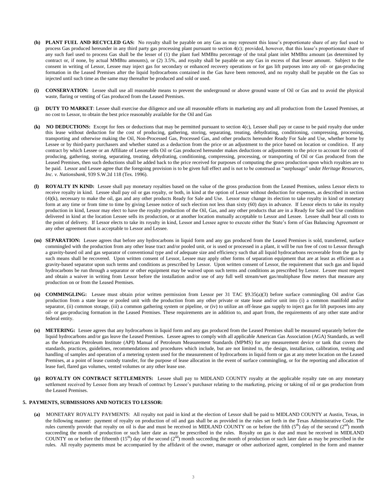- **(h) PLANT FUEL AND RECYCLED GAS:** No royalty shall be payable on any Gas as may represent this lease's proportionate share of any fuel used to process Gas produced hereunder in any third party gas processing plant pursuant to section 4(c); provided, however, that this lease's proportionate share of any such fuel used to process Gas shall be the lesser of (1) the plant fuel MMBtu percentage of the total plant inlet MMBtu amount (as determined by contract or, if none, by actual MMBtu amounts), or (2) 3.5%, and royalty shall be payable on any Gas in excess of that lesser amount. Subject to the consent in writing of Lessor, Lessee may inject gas for secondary or enhanced recovery operations or for gas lift purposes into any oil- or gas-producing formation in the Leased Premises after the liquid hydrocarbons contained in the Gas have been removed, and no royalty shall be payable on the Gas so injected until such time as the same may thereafter be produced and sold or used.
- **(i) CONSERVATION:** Lessee shall use all reasonable means to prevent the underground or above ground waste of Oil or Gas and to avoid the physical waste, flaring or venting of Gas produced from the Leased Premises.
- **(j) DUTY TO MARKET**: Lessee shall exercise due diligence and use all reasonable efforts in marketing any and all production from the Leased Premises, at no cost to Lessor, to obtain the best price reasonably available for the Oil and Gas
- **(k) NO DEDUCTIONS:** Except for fees or deductions that may be permitted pursuant to section 4(c), Lessee shall pay or cause to be paid royalty due under this lease without deduction for the cost of producing, gathering, storing, separating, treating, dehydrating, conditioning, compressing, processing, transporting and otherwise making the Oil, Non-Processed Gas, Processed Gas, and other products hereunder Ready For Sale and Use, whether borne by Lessee or by third-party purchasers and whether stated as a deduction from the price or an adjustment to the price based on location or condition. If any contract by which Lessee or an Affiliate of Lessee sells Oil or Gas produced hereunder makes deductions or adjustments to the price to account for costs of producing, gathering, storing, separating, treating, dehydrating, conditioning, compressing, processing, or transporting of Oil or Gas produced from the Leased Premises, then such deductions shall be added back to the price received for purposes of computing the gross production upon which royalties are to be paid. Lessor and Lessee agree that the foregoing provision is to be given full effect and is not to be construed as "surplusage" under *Heritage Resources, Inc. v. Nationsbank*, 939 S.W.2d 118 (Tex. 1996).
- **(l) ROYALTY IN KIND:** Lessee shall pay monetary royalties based on the value of the gross production from the Leased Premises, unless Lessor elects to receive royalty in kind. Lessee shall pay oil or gas royalty, or both, in kind at the option of Lessor without deduction for expenses, as described in section (4)(k), necessary to make the oil, gas and any other products Ready for Sale and Use. Lessor may change its election to take royalty in kind or monetary form at any time or from time to time by giving Lessee notice of such election not less than sixty (60) days in advance. If Lessor elects to take its royalty production in kind, Lessor may elect to have the royalty production of the Oil, Gas, and any other products that are in a Ready for Sale and Use condition delivered in kind at the location Lessee sells its production, or at another location mutually acceptable to Lessor and Lessee. Lessee shall bear all costs to the point of delivery. If Lessor elects to take its royalty in kind, Lessor and Lessee agree to execute either the State's form of Gas Balancing Agreement or any other agreement that is acceptable to Lessor and Lessee.
- **(m) SEPARATION:** Lessee agrees that before any hydrocarbons in liquid form and any gas produced from the Leased Premises is sold, transferred, surface commingled with the production from any other lease tract and/or pooled unit, or is used or processed in a plant, it will be run free of cost to Lessor through a gravity-based oil and gas separator of conventional type and of adequate size and efficiency such that all liquid hydrocarbons recoverable from the gas by such means shall be recovered. Upon written consent of Lessor, Lessee may apply other forms of separation equipment that are at least as efficient as a gravity-based separator upon such terms and conditions as prescribed by Lessor. Upon written consent of Lessor, the requirement that such gas and liquid hydrocarbons be run through a separator or other equipment may be waived upon such terms and conditions as prescribed by Lessor. Lessee must request and obtain a waiver in writing from Lessor before the installation and/or use of any full well stream/wet gas/multiphase flow meters that measure any production on or from the Leased Premises.
- **(n) COMMINGLING:** Lessee must obtain prior written permission from Lessor per 31 TAC §9.35(a)(3) before surface commingling Oil and/or Gas production from a state lease or pooled unit with the production from any other private or state lease and/or unit into (i) a common manifold and/or separator, (ii) common storage, (iii) a common gathering system or pipeline, or (iv) to utilize an off-lease gas supply to inject gas for lift purposes into any oil- or gas-producing formation in the Leased Premises. These requirements are in addition to, and apart from, the requirements of any other state and/or federal entity.
- **(o) METERING:** Lessee agrees that any hydrocarbons in liquid form and any gas produced from the Leased Premises shall be measured separately before the liquid hydrocarbons and/or gas leave the Leased Premises. Lessee agrees to comply with all applicable American Gas Association (AGA) Standards, as well as the American Petroleum Institute (API) Manual of Petroleum Measurement Standards (MPMS) for any measurement device or tank that covers the standards, practices, guidelines, recommendations and procedures which include, but are not limited to, the design, installation, calibration, testing and handling of samples and operation of a metering system used for the measurement of hydrocarbons in liquid form or gas at any meter location on the Leased Premises, at a point of lease custody transfer, for the purpose of lease allocation in the event of surface commingling, or for the reporting and allocation of lease fuel, flared gas volumes, vented volumes or any other lease use.
- **ROYALTY ON CONTRACT SETTLEMENTS:** Lessee shall pay to MIDLAND COUNTY royalty at the applicable royalty rate on any monetary settlement received by Lessee from any breach of contract by Lessee's purchaser relating to the marketing, pricing or taking of oil or gas production from the Leased Premises.

### **5. PAYMENTS, SUBMISSIONS AND NOTICES TO LESSOR:**

**(a)** MONETARY ROYALTY PAYMENTS: All royalty not paid in kind at the election of Lessor shall be paid to MIDLAND COUNTY at Austin, Texas, in the following manner: payment of royalty on production of oil and gas shall be as provided in the rules set forth in the Texas Administrative Code. The rules currently provide that royalty on oil is due and must be received in MIDLAND COUNTY on or before the fifth  $(5<sup>th</sup>)$  day of the second  $(2<sup>nd</sup>)$  month succeeding the month of production or such later date as may be prescribed in the rules. Royalty on gas is due and must be received in MIDLAND COUNTY on or before the fifteenth  $(15<sup>th</sup>)$  day of the second  $(2<sup>nd</sup>)$  month succeeding the month of production or such later date as may be prescribed in the rules. All royalty payments must be accompanied by the affidavit of the owner, manager or other authorized agent, completed in the form and manner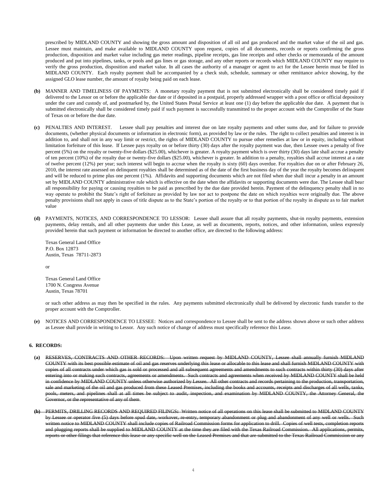prescribed by MIDLAND COUNTY and showing the gross amount and disposition of all oil and gas produced and the market value of the oil and gas. Lessee must maintain, and make available to MIDLAND COUNTY upon request, copies of all documents, records or reports confirming the gross production, disposition and market value including gas meter readings, pipeline receipts, gas line receipts and other checks or memoranda of the amount produced and put into pipelines, tanks, or pools and gas lines or gas storage, and any other reports or records which MIDLAND COUNTY may require to verify the gross production, disposition and market value. In all cases the authority of a manager or agent to act for the Lessee herein must be filed in MIDLAND COUNTY. Each royalty payment shall be accompanied by a check stub, schedule, summary or other remittance advice showing, by the assigned GLO lease number, the amount of royalty being paid on each lease.

- **(b)** MANNER AND TIMELINESS OF PAYMENTS: A monetary royalty payment that is not submitted electronically shall be considered timely paid if delivered to the Lessor on or before the applicable due date or if deposited in a postpaid, properly addressed wrapper with a post office or official depository under the care and custody of, and postmarked by, the United States Postal Service at least one (1) day before the applicable due date. A payment that is submitted electronically shall be considered timely paid if such payment is successfully transmitted to the proper account with the Comptroller of the State of Texas on or before the due date.
- **(c)** PENALTIES AND INTEREST. Lessee shall pay penalties and interest due on late royalty payments and other sums due, and for failure to provide documents, (whether physical documents or information in electronic form), as provided by law or the rules. The right to collect penalties and interest is in addition to, and shall not in any way limit or restrict, the rights of MIDLAND COUNTY to pursue other remedies at law or in equity, including without limitation forfeiture of this lease. If Lessee pays royalty on or before thirty (30) days after the royalty payment was due, then Lessee owes a penalty of five percent (5%) on the royalty or twenty-five dollars (\$25.00)*,* whichever is greater. A royalty payment which is over thirty (30) days late shall accrue a penalty of ten percent (10%) of the royalty due or twenty-five dollars (\$25.00), whichever is greater. In addition to a penalty, royalties shall accrue interest at a rate of twelve percent (12%) per year; such interest will begin to accrue when the royalty is sixty (60) days overdue. For royalties due on or after February 26, 2010, the interest rate assessed on delinquent royalties shall be determined as of the date of the first business day of the year the royalty becomes delinquent and will be reduced to prime plus one percent (1%). Affidavits and supporting documents which are not filed when due shall incur a penalty in an amount set by MIDLAND COUNTY administrative rule which is effective on the date when the affidavits or supporting documents were due. The Lessee shall bear all responsibility for paying or causing royalties to be paid as prescribed by the due date provided herein. Payment of the delinquency penalty shall in no way operate to prohibit the State's right of forfeiture as provided by law nor act to postpone the date on which royalties were originally due. The above penalty provisions shall not apply in cases of title dispute as to the State's portion of the royalty or to that portion of the royalty in dispute as to fair market value
- **(d)** PAYMENTS, NOTICES, AND CORRESPONDENCE TO LESSOR: Lessee shall assure that all royalty payments, shut-in royalty payments, extension payments, delay rentals, and all other payments due under this Lease, as well as documents, reports, notices, and other information, unless expressly provided herein that such payment or information be directed to another office, are directed to the following address:

Texas General Land Office P.O. Box 12873 Austin, Texas 78711-2873

or

Texas General Land Office 1700 N. Congress Avenue Austin, Texas 78701

or such other address as may then be specified in the rules. Any payments submitted electronically shall be delivered by electronic funds transfer to the proper account with the Comptroller.

**(e)** NOTICES AND CORRESPONDENCE TO LESSEE: Notices and correspondence to Lessee shall be sent to the address shown above or such other address as Lessee shall provide in writing to Lessor. Any such notice of change of address must specifically reference this Lease.

### **6. RECORDS:**

- **(a)** RESERVES, CONTRACTS AND OTHER RECORDS: Upon written request by MIDLAND COUNTY, Lessee shall annually furnish MIDLAND COUNTY with its best possible estimate of oil and gas reserves underlying this lease or allocable to this lease and shall furnish MIDLAND COUNTY with copies of all contracts under which gas is sold or processed and all subsequent agreements and amendments to such contracts within thirty (30) days after entering into or making such contracts, agreements or amendments. Such contracts and agreements when received by MIDLAND COUNTY shall be held in confidence by MIDLAND COUNTY unless otherwise authorized by Lessee. All other contracts and records pertaining to the production, transportation, sale and marketing of the oil and gas produced from these Leased Premises, including the books and accounts, receipts and discharges of all wells, tanks, pools, meters, and pipelines shall at all times be subject to audit, inspection, and examination by MIDLAND COUNTY, the Attorney General, the Governor, or the representative of any of them.
- **(b)** PERMITS, DRILLING RECORDS AND REQUIRED FILINGS**:** Written notice of all operations on this lease shall be submitted to MIDLAND COUNTY by Lessee or operator five (5) days before spud date, workover, re-entry, temporary abandonment or plug and abandonment of any well or wells. Such written notice to MIDLAND COUNTY shall include copies of Railroad Commission forms for application to drill. Copies of well tests, completion reports and plugging reports shall be supplied to MIDLAND COUNTY at the time they are filed with the Texas Railroad Commission. All applications, permits, reports or other filings that reference this lease or any specific well on the Leased Premises and that are submitted to the Texas Railroad Commission or any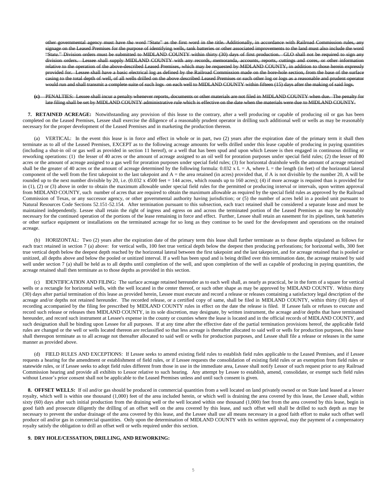other governmental agency must have the word "State" as the first word in the title. Additionally, in accordance with Railroad Commission signage on the Leased Premises for the purpose of identifying wells, tank batteries or other associated improvements to the land must also include "State." Division orders must be submitted to MIDLAND COUNTY within thirty (30) days of first production. GLO shall not be required to division orders. Lessee shall supply MIDLAND COUNTY with any records, memoranda, accounts, reports, cuttings and cores, or other relative to the operation of the above-described Leased Premises, which may be requested by MIDLAND COUNTY, in addition to those herein expressly provided for. Lessee shall have a basic electrical log as defined by the Railroad Commission made on the bore-hole section, from the base of the .<br>casing to the total depth of well, of all wells drilled on the above described Leased Premises or such other log or logs as a reasonable and prudent operator suite of such logs on each well to MIDLAND COUNTY within fifteen (15) days after the

#### **(c)** PENALTIES: Lessee shall incur a penalty whenever reports, documents or other materials are not filed in MIDLAND COUNTY when due. The penalty for late filing shall be set by MIDLAND COUNTY administrative rule which is effective on the date when the materials were due to MIDLAND COUNTY.

 **7. RETAINED ACREAGE:** Notwithstanding any provision of this lease to the contrary, after a well producing or capable of producing oil or gas has been completed on the Leased Premises, Lessee shall exercise the diligence of a reasonably prudent operator in drilling such additional well or wells as may be reasonably necessary for the proper development of the Leased Premises and in marketing the production thereon.

(a) VERTICAL: In the event this lease is in force and effect in whole or in part, two (2) years after the expiration date of the primary term it shall then terminate as to all of the Leased Premises, EXCEPT as to the following acreage amounts for wells drilled under this lease capable of producing in paying quantities (including a shut-in oil or gas well as provided in section 11 hereof), or a well that has been spud and upon which Lessee is then engaged in continuous drilling or reworking operations: (1) the lesser of 40 acres or the amount of acreage assigned to an oil well for proration purposes under special field rules; (2) the lesser of 80 acres or the amount of acreage assigned to a gas well for proration purposes under special field rules; (3) for horizontal drainhole wells the amount of acreage retained shall be the greater of 40 acres or the amount of acreage determined by the following formula:  $0.032 \times L = A$ , where L = the length (in feet) of the horizontal lateral component of the well from the first takepoint to the last takepoint and A = the area retained (in acres) provided that, if A is not divisible by the number 20, A will be rounded up to the next number divisible by 20, i.e.  $(0.032 \times 4500$  feet = 144 acres, which rounds up to 160 acres); (4) if more acreage is required than is provided for in (1), (2) or (3) above in order to obtain the maximum allowable under special field rules for the permitted or producing interval or intervals, upon written approval from MIDLAND COUNTY, such number of acres that are required to obtain the maximum allowable as required by the special field rules as approved by the Railroad Commission of Texas, or any successor agency, or other governmental authority having jurisdiction; or (5) the number of acres held in a pooled unit pursuant to Natural Resources Code Sections 52.151-52.154. After termination pursuant to this subsection, each tract retained shall be considered a separate lease and must be maintained independently. Lessee shall retain the right of ingress and egress on and across the terminated portion of the Leased Premises as may be reasonably necessary for the continued operation of the portions of the lease remaining in force and effect. Further, Lessee shall retain an easement for its pipelines, tank batteries or other surface equipment or installations on the terminated acreage for so long as they continue to be used for the development and operations on the retained acreage.

 (b) HORIZONTAL: Two (2) years after the expiration date of the primary term this lease shall further terminate as to those depths stipulated as follows for each tract retained in section 7 (a) above: for vertical wells, 100 feet true vertical depth below the deepest then producing perforations; for horizontal wells, 300 feet true vertical depth below the deepest depth reached by the horizontal lateral between the first takepoint and the last takepoint, and for acreage retained that is pooled or unitized, all depths above and below the pooled or unitized interval. If a well has been spud and is being drilled over this termination date, the acreage retained by said well under section 7 (a) shall be held as to all depths until completion of the well, and upon completion of the well as capable of producing in paying quantities, the acreage retained shall then terminate as to those depths as provided in this section.

(c) IDENTIFICATION AND FILING**:** The surface acreage retained hereunder as to each well shall, as nearly as practical, be in the form of a square for vertical wells or a rectangle for horizontal wells, with the well located in the center thereof, or such other shape as may be approved by MIDLAND COUNTY. Within thirty (30) days after partial termination of this lease as provided herein, Lessee must execute and record a release or releases containing a satisfactory legal description of the acreage and/or depths not retained hereunder. The recorded release, or a certified copy of same, shall be filed in MIDLAND COUNTY, within thirty (30) days of recording accompanied by the filing fee prescribed by MIDLAND COUNTY rules in effect on the date the release is filed. If Lessee fails or refuses to execute and record such release or releases then MIDLAND COUNTY, in its sole discretion, may designate, by written instrument, the acreage and/or depths that have terminated hereunder, and record such instrument at Lessee's expense in the county or counties where the lease is located and in the official records of MIDLAND COUNTY, and such designation shall be binding upon Lessee for all purposes. If at any time after the effective date of the partial termination provisions hereof, the applicable field rules are changed or the well or wells located thereon are reclassified so that less acreage is thereafter allocated to said well or wells for production purposes, this lease shall thereupon terminate as to all acreage not thereafter allocated to said well or wells for production purposes, and Lessee shall file a release or releases in the same manner as provided above.

(d) FIELD RULES AND EXCEPTIONS: If Lessee seeks to amend existing field rules to establish field rules applicable to the Leased Premises, and if Lessee requests a hearing for the amendment or establishment of field rules, or if Lessee requests the consolidation of existing field rules or an exemption from field rules or statewide rules, or if Lessee seeks to adopt field rules different from those in use in the immediate area, Lessee shall notify Lessor of such request prior to any Railroad Commission hearing and provide all exhibits to Lessor relative to such hearing. Any attempt by Lessee to establish, amend, consolidate, or exempt such field rules without Lessor's prior consent shall not be applicable to the Leased Premises unless and until such consent is given.

8. **OFFSET WELLS:** If oil and/or gas should be produced in commercial quantities from a well located on land privately owned or on State land leased at a lesser royalty, which well is within one thousand (1,000) feet of the area included herein, or which well is draining the area covered by this lease, the Lessee shall, within sixty (60) days after such initial production from the draining well or the well located within one thousand (1,000) feet from the area covered by this lease, begin in good faith and prosecute diligently the drilling of an offset well on the area covered by this lease, and such offset well shall be drilled to such depth as may be necessary to prevent the undue drainage of the area covered by this lease, and the Lessee shall use all means necessary in a good faith effort to make such offset well produce oil and/or gas in commercial quantities. Only upon the determination of MIDLAND COUNTY with its written approval, may the payment of a compensatory royalty satisfy the obligation to drill an offset well or wells required under this section.

#### **9. DRY HOLE/CESSATION, DRILLING, AND REWORKING:**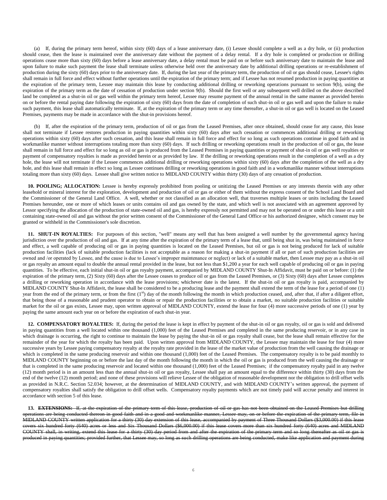(a) If, during the primary term hereof, within sixty (60) days of a lease anniversary date, (i) Lessee should complete a well as a dry hole, or (ii) production should cease, then the lease is maintained over the anniversary date without the payment of a delay rental. If a dry hole is completed or production or drilling operations cease more than sixty (60) days before a lease anniversary date, a delay rental must be paid on or before such anniversary date to maintain the lease and upon failure to make such payment the lease shall terminate unless otherwise held over the anniversary date by additional drilling operations or re-establishment of production during the sixty (60) days prior to the anniversary date. If, during the last year of the primary term, the production of oil or gas should cease, Lessee's rights shall remain in full force and effect without further operations until the expiration of the primary term; and if Lessee has not resumed production in paying quantities at the expiration of the primary term, Lessee may maintain this lease by conducting additional drilling or reworking operations pursuant to section 9(b), using the expiration of the primary term as the date of cessation of production under section 9(b). Should the first well or any subsequent well drilled on the above described land be completed as a shut-in oil or gas well within the primary term hereof, Lessee may resume payment of the annual rental in the same manner as provided herein on or before the rental paying date following the expiration of sixty (60) days from the date of completion of such shut-in oil or gas well and upon the failure to make such payment, this lease shall automatically terminate. If, at the expiration of the primary term or any time thereafter, a shut-in oil or gas well is located on the Leased Premises, payments may be made in accordance with the shut-in provisions hereof.

(b) If, after the expiration of the primary term, production of oil or gas from the Leased Premises, after once obtained, should cease for any cause, this lease shall not terminate if Lessee restores production in paying quantities within sixty (60) days after such cessation or commences additional drilling or reworking operations within sixty (60) days after such cessation, and this lease shall remain in full force and effect for so long as such operations continue in good faith and in workmanlike manner without interruptions totaling more than sixty (60) days. If such drilling or reworking operations result in the production of oil or gas, the lease shall remain in full force and effect for so long as oil or gas is produced from the Leased Premises in paying quantities or payment of shut-in oil or gas well royalties or payment of compensatory royalties is made as provided herein or as provided by law. If the drilling or reworking operations result in the completion of a well as a dry hole, the lease will not terminate if the Lessee commences additional drilling or reworking operations within sixty (60) days after the completion of the well as a dry hole, and this lease shall remain in effect so long as Lessee continues drilling or reworking operations in good faith and in a workmanlike manner without interruptions totaling more than sixty (60) days. Lessee shall give written notice to MIDLAND COUNTY within thirty (30) days of any cessation of production.

 **10. POOLING; ALLOCATION:** Lessee is hereby expressly prohibited from pooling or unitizing the Leased Premises or any interests therein with any other leasehold or mineral interest for the exploration, development and production of oil or gas or either of them without the express consent of the School Land Board and the Commissioner of the General Land Office. A well, whether or not classified as an allocation well, that traverses multiple leases or units including the Leased Premises hereunder, one or more of which leases or units contains oil and gas owned by the state, and which well is not associated with an agreement approved by Lessor specifying the allocation of the production of state-owned oil and gas, is hereby expressly not permitted and may not be operated on or under this lease or a unit containing state-owned oil and gas without the prior written consent of the Commissioner of the General Land Office or his authorized designee, which consent may be granted or withheld in the Commissioner's sole discretion.

 **11. SHUT-IN ROYALTIES:** For purposes of this section, "well" means any well that has been assigned a well number by the governmental agency having jurisdiction over the production of oil and gas. If at any time after the expiration of the primary term of a lease that, until being shut in, was being maintained in force and effect, a well capable of producing oil or gas in paying quantities is located on the Leased Premises, but oil or gas is not being produced for lack of suitable production facilities (lack of suitable production facilities is not acceptable as a reason for making a shut-in payment if all or part of such production facilities are owned and /or operated by Lessee, and the cause is due to Lessee's improper maintenance or neglect) or lack of a suitable market, then Lessee may pay as a shut-in oil or gas royalty an amount equal to double the annual rental provided in the lease, but not less than \$1,200 a year for each well capable of producing oil or gas in paying quantities. To be effective, each initial shut-in oil or gas royalty payment, accompanied by MIDLAND COUNTY Shut-In Affidavit, must be paid on or before: (1) the expiration of the primary term, (2) Sixty (60) days after the Lessee ceases to produce oil or gas from the Leased Premises, or (3) Sixty (60) days after Lessee completes a drilling or reworking operation in accordance with the lease provisions; whichever date is the latest. If the shut-in oil or gas royalty is paid, accompanied by MIDLAND COUNTY Shut-In Affidavit, the lease shall be considered to be a producing lease and the payment shall extend the term of the lease for a period of one (1) year from the end of the primary term, or from the first (1st) day of the month following the month in which production ceased, and, after that, if after a diligent effort, that being those of a reasonable and prudent operator to obtain or repair the production facilities or to obtain a market, no suitable production facilities or suitable market for the oil or gas exists, Lessee may, upon written approval of MIDLAND COUNTY, extend the lease for four (4) more successive periods of one (1) year by paying the same amount each year on or before the expiration of each shut-in year.

 **12. COMPENSATORY ROYALTIES:** If, during the period the lease is kept in effect by payment of the shut-in oil or gas royalty, oil or gas is sold and delivered in paying quantities from a well located within one thousand (1,000) feet of the Leased Premises and completed in the same producing reservoir, or in any case in which drainage is occurring, the right to continue to maintain the lease by paying the shut-in oil or gas royalty shall cease, but the lease shall remain effective for the remainder of the year for which the royalty has been paid. Upon written approval from MIDLAND COUNTY, the Lessee may maintain the lease for four (4) more successive years by Lessee paying compensatory royalty at the royalty rate provided in the lease of the market value of production from the well causing the drainage or which is completed in the same producing reservoir and within one thousand (1,000) feet of the Leased Premises. The compensatory royalty is to be paid monthly to MIDLAND COUNTY beginning on or before the last day of the month following the month in which the oil or gas is produced from the well causing the drainage or that is completed in the same producing reservoir and located within one thousand (1,000) feet of the Leased Premises; if the compensatory royalty paid in any twelve (12) month period is in an amount less than the annual shut-in oil or gas royalty, Lessee shall pay an amount equal to the difference within thirty (30) days from the end of the twelve (12) month period; and none of these provisions will relieve Lessee of the obligation of reasonable development nor the obligation to drill offset wells as provided in N.R.C. Section 52.034; however, at the determination of MIDLAND COUNTY, and with MIDLAND COUNTY's written approval, the payment of compensatory royalties shall satisfy the obligation to drill offset wells. Compensatory royalty payments which are not timely paid will accrue penalty and interest in accordance with section 5 of this lease.

13. EXTENSIONS: If, at the expiration of the primary term of this lease, production of oil or gas has not been obtained on the Lea operations are being conducted thereon in good faith and in a good and workmanlike manner, Lessee may, on or before the expiration of the primary term, file in MIDLAND COUNTY written application for a thirty (30) day extension of this lease, accompanied by payment of Three Thousand Dollars (\$3,000.00) if this lease covers six hundred forty (640) acres or less and Six Thousand Dollars (\$6,000.00) if this lease covers more than six hundred forty (640) acres and MIDLAND COUNTY shall, in writing, extend this lease for a thirty (30) day period from and after the expiration of the primary term and so long thereafter as oil or gas is luced in paying quantities; provided further, that Lessee may, so long as such drilling operations are being conducted, make like application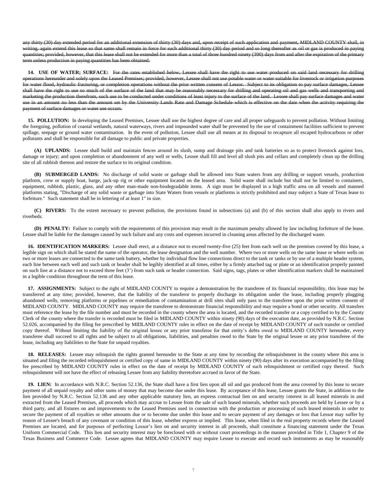any thirty (30) day extended period for an additional extension of thirty (30) days and, upon receipt of such application and payment, MIDLAND COUNTY shall, in writing, again extend this lease so that same shall remain in force for such additional thirty (30) day period and so long thereafter as oil or gas is produced in paying quantities; provided, however, that this lease shall not be extended for more than a total of three hundred ninety (390) days from and after the expiration of the prir s production in paying quantities has been obtained.

14. USE OF WATER; SURFACE: For the rates established below, Lessee shall have the right to use water produced on operations hereunder and solely upon the Leased Premises; provided, however, Lessee shall not use potable water or water suitable for livestock or irrigation purposes for water flood, hydraulic fracturing, or completion operations without the prior written consent of Lessor. Subject to its obligation to pay surface shall have the right to use so much of the surface of the land that may be reasonably necessary for drilling and operating oil and gas wells and transporting and marketing the production therefrom, such use to be conducted under conditions of least injury to the surface of the land. Lessee shall pay surface damages and water use in an amount no less than the amount set by the University Lands Rate and Damage Schedule which is effective on the date when the activity requiring the payment of surface damages or water use occurs.

 **15. POLLUTION:** In developing the Leased Premises, Lessee shall use the highest degree of care and all proper safeguards to prevent pollution. Without limiting the foregoing, pollution of coastal wetlands, natural waterways, rivers and impounded water shall be prevented by the use of containment facilities sufficient to prevent spillage, seepage or ground water contamination. In the event of pollution, Lessee shall use all means at its disposal to recapture all escaped hydrocarbons or other pollutants and shall be responsible for all damage to public and private properties.

 **(A) UPLANDS:** Lessee shall build and maintain fences around its slush, sump and drainage pits and tank batteries so as to protect livestock against loss, damage or injury; and upon completion or abandonment of any well or wells, Lessee shall fill and level all slush pits and cellars and completely clean up the drilling site of all rubbish thereon and restore the surface to its original condition.

 **(B) SUBMERGED LANDS:** No discharge of solid waste or garbage shall be allowed into State waters from any drilling or support vessels, production platform, crew or supply boat, barge, jack-up rig or other equipment located on the leased area. Solid waste shall include but shall not be limited to containers, equipment, rubbish, plastic, glass, and any other man-made non-biodegradable items. A sign must be displayed in a high traffic area on all vessels and manned platforms stating, "Discharge of any solid waste or garbage into State Waters from vessels or platforms is strictly prohibited and may subject a State of Texas lease to forfeiture." Such statement shall be in lettering of at least 1" in size.

 **(C) RIVERS:** To the extent necessary to prevent pollution, the provisions found in subsections (a) and (b) of this section shall also apply to rivers and riverbeds.

 **(D) PENALTY:** Failure to comply with the requirements of this provision may result in the maximum penalty allowed by law including forfeiture of the lease. Lessee shall be liable for the damages caused by such failure and any costs and expenses incurred in cleaning areas affected by the discharged waste.

 **16. IDENTIFICATION MARKERS:** Lessee shall erect, at a distance not to exceed twenty-five (25) feet from each well on the premises covered by this lease, a legible sign on which shall be stated the name of the operator, the lease designation and the well number. Where two or more wells on the same lease or where wells on two or more leases are connected to the same tank battery, whether by individual flow line connections direct to the tank or tanks or by use of a multiple header system, each line between each well and such tank or header shall be legibly identified at all times, either by a firmly attached tag or plate or an identification properly painted on such line at a distance not to exceed three feet (3') from such tank or header connection. Said signs, tags, plates or other identification markers shall be maintained in a legible condition throughout the term of this lease.

 **17. ASSIGNMENTS:** Subject to the right of MIDLAND COUNTY to require a demonstration by the transferee of its financial responsibility, this lease may be transferred at any time; provided, however, that the liability of the transferor to properly discharge its obligation under the lease, including properly plugging abandoned wells, removing platforms or pipelines or remediation of contamination at drill sites shall only pass to the transferee upon the prior written consent of MIDLAND COUNTY. MIDLAND COUNTY may require the transferee to demonstrate financial responsibility and may require a bond or other security. All transfers must reference the lease by the file number and must be recorded in the county where the area is located, and the recorded transfer or a copy certified to by the County Clerk of the county where the transfer is recorded must be filed in MIDLAND COUNTY within ninety (90) days of the execution date, as provided by N.R.C. Section 52.026, accompanied by the filing fee prescribed by MIDLAND COUNTY rules in effect on the date of receipt by MIDLAND COUNTY of such transfer or certified copy thereof. Without limiting the liability of the original lessee or any prior transferee for that entity's debts owed to MIDLAND COUNTY hereunder, every transferee shall succeed to all rights and be subject to all obligations, liabilities, and penalties owed to the State by the original lessee or any prior transferee of the lease, including any liabilities to the State for unpaid royalties.

18. RELEASES: Lessee may relinquish the rights granted hereunder to the State at any time by recording the relinquishment in the county where this area is situated and filing the recorded relinquishment or certified copy of same in MIDLAND COUNTY within ninety (90) days after its execution accompanied by the filing fee prescribed by MIDLAND COUNTY rules in effect on the date of receipt by MIDLAND COUNTY of such relinquishment or certified copy thereof. Such relinquishment will not have the effect of releasing Lessee from any liability theretofore accrued in favor of the State.

 **19. LIEN:** In accordance with N.R.C. Section 52.136, the State shall have a first lien upon all oil and gas produced from the area covered by this lease to secure payment of all unpaid royalty and other sums of money that may become due under this lease. By acceptance of this lease, Lessee grants the State, in addition to the lien provided by N.R.C. Section 52.136 and any other applicable statutory lien, an express contractual lien on and security interest in all leased minerals in and extracted from the Leased Premises, all proceeds which may accrue to Lessee from the sale of such leased minerals, whether such proceeds are held by Lessee or by a third party, and all fixtures on and improvements to the Leased Premises used in connection with the production or processing of such leased minerals in order to secure the payment of all royalties or other amounts due or to become due under this lease and to secure payment of any damages or loss that Lessor may suffer by reason of Lessee's breach of any covenant or condition of this lease, whether express or implied. This lease, when filed in the real property records where the Leased Premises are located, and for purposes of perfecting Lessor's lien on and security interest in all proceeds, shall constitute a financing statement under the Texas Uniform Commercial Code. This lien and security interest may be foreclosed with or without court proceedings in the manner provided in Title 1, Chapter 9 of the Texas Business and Commerce Code. Lessee agrees that MIDLAND COUNTY may require Lessee to execute and record such instruments as may be reasonably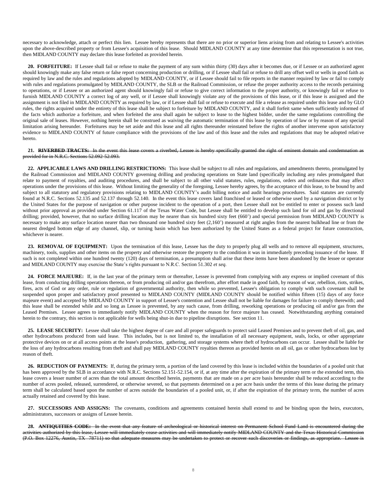necessary to acknowledge, attach or perfect this lien. Lessee hereby represents that there are no prior or superior liens arising from and relating to Lessee's activities upon the above-described property or from Lessee's acquisition of this lease. Should MIDLAND COUNTY at any time determine that this representation is not true, then MIDLAND COUNTY may declare this lease forfeited as provided herein.

 **20. FORFEITURE:** If Lessee shall fail or refuse to make the payment of any sum within thirty (30) days after it becomes due, or if Lessee or an authorized agent should knowingly make any false return or false report concerning production or drilling, or if Lessee shall fail or refuse to drill any offset well or wells in good faith as required by law and the rules and regulations adopted by MIDLAND COUNTY, or if Lessee should fail to file reports in the manner required by law or fail to comply with rules and regulations promulgated by MIDLAND COUNTY, the SLB or the Railroad Commission, or refuse the proper authority access to the records pertaining to operations, or if Lessee or an authorized agent should knowingly fail or refuse to give correct information to the proper authority, or knowingly fail or refuse to furnish MIDLAND COUNTY a correct log of any well, or if Lessee shall knowingly violate any of the provisions of this lease, or if this lease is assigned and the assignment is not filed in MIDLAND COUNTY as required by law, or if Lessee shall fail or refuse to execute and file a release as required under this lease and by GLO rules, the rights acquired under the entirety of this lease shall be subject to forfeiture by MIDLAND COUNTY, and it shall forfeit same when sufficiently informed of the facts which authorize a forfeiture, and when forfeited the area shall again be subject to lease to the highest bidder, under the same regulations controlling the original sale of leases. However, nothing herein shall be construed as waiving the automatic termination of this lease by operation of law or by reason of any special limitation arising hereunder. Forfeitures may be set aside and this lease and all rights thereunder reinstated before the rights of another intervene upon satisfactory evidence to MIDLAND COUNTY of future compliance with the provisions of the law and of this lease and the rules and regulations that may be adopted relative hereto.

#### 21. RIVERBED TRACTS: In the event this lease covers a riverbed, Lessee is hereby specifically granted the right of eminent domain and condemnation provided for in N.R.C. Sections 52.092-52.093.

 **22. APPLICABLE LAWS AND DRILLING RESTRICTIONS:** This lease shall be subject to all rules and regulations, and amendments thereto, promulgated by the Railroad Commission and MIDLAND COUNTY governing drilling and producing operations on State land (specifically including any rules promulgated that relate to payment of royalties, and auditing procedures, and shall be subject to all other valid statutes, rules, regulations, orders and ordinances that may affect operations under the provisions of this lease. Without limiting the generality of the foregoing, Lessee hereby agrees, by the acceptance of this lease, to be bound by and subject to all statutory and regulatory provisions relating to MIDLAND COUNTY's audit billing notice and audit hearings procedures. Said statutes are currently found at N.R.C. Sections 52.135 and 52.137 through 52.140. In the event this lease covers land franchised or leased or otherwise used by a navigation district or by the United States for the purpose of navigation or other purpose incident to the operation of a port, then Lessee shall not be entitled to enter or possess such land without prior approval as provided under Section 61.117 of the Texas Water Code, but Lessee shall be entitled to develop such land for oil and gas by directional drilling; provided, however, that no surface drilling location may be nearer than six hundred sixty feet (660') and special permission from MIDLAND COUNTY is necessary to make any surface location nearer than two thousand one hundred sixty feet (2,160') measured at right angles from the nearest bulkhead line or from the nearest dredged bottom edge of any channel, slip, or turning basin which has been authorized by the United States as a federal project for future construction, whichever is nearer.

23. REMOVAL OF EQUIPMENT: Upon the termination of this lease, Lessee has the duty to properly plug all wells and to remove all equipment, structures, machinery, tools, supplies and other items on the property and otherwise restore the property to the condition it was in immediately preceding issuance of the lease. If such is not completed within one hundred twenty (120) days of termination, a presumption shall arise that these items have been abandoned by the lessee or operator and MIDLAND COUNTY may exercise the State's rights pursuant to N.R.C. Section 51.302 *et seq.*

 **24. FORCE MAJEURE:** If, in the last year of the primary term or thereafter, Lessee is prevented from complying with any express or implied covenant of this lease, from conducting drilling operations thereon, or from producing oil and/or gas therefrom, after effort made in good faith, by reason of war, rebellion, riots, strikes, fires, acts of God or any order, rule or regulation of governmental authority, then while so prevented, Lessee's obligation to comply with such covenant shall be suspended upon proper and satisfactory proof presented to MIDLAND COUNTY (MIDLAND COUNTY should be notified within fifteen (15) days of any force majeure event) and accepted by MIDLAND COUNTY in support of Lessee's contention and Lessee shall not be liable for damages for failure to comply therewith; and this lease shall be extended while and so long as Lessee is prevented, by any such cause, from drilling, reworking operations or producing oil and/or gas from the Leased Premises. Lessee agrees to immediately notify MIDLAND COUNTY when the reason for force majeure has ceased. Notwithstanding anything contained herein to the contrary, this section is not applicable for wells being shut-in due to pipeline disruptions. See section 11.

 **25. LEASE SECURITY:** Lessee shall take the highest degree of care and all proper safeguards to protect said Leased Premises and to prevent theft of oil, gas, and other hydrocarbons produced from said lease. This includes, but is not limited to, the installation of all necessary equipment, seals, locks, or other appropriate protective devices on or at all access points at the lease's production, gathering, and storage systems where theft of hydrocarbons can occur. Lessee shall be liable for the loss of any hydrocarbons resulting from theft and shall pay MIDLAND COUNTY royalties thereon as provided herein on all oil, gas or other hydrocarbons lost by reason of theft.

 **26. REDUCTION OF PAYMENTS:** If, during the primary term, a portion of the land covered by this lease is included within the boundaries of a pooled unit that has been approved by the SLB in accordance with N.R.C. Sections 52.151-52.154, or if, at any time after the expiration of the primary term or the extended term, this lease covers a lesser number of acres than the total amount described herein, payments that are made on a per acre basis hereunder shall be reduced according to the number of acres pooled, released, surrendered, or otherwise severed, so that payments determined on a per acre basis under the terms of this lease during the primary term shall be calculated based upon the number of acres outside the boundaries of a pooled unit, or, if after the expiration of the primary term, the number of acres actually retained and covered by this lease.

 **27. SUCCESSORS AND ASSIGNS:** The covenants, conditions and agreements contained herein shall extend to and be binding upon the heirs, executors, administrators, successors or assigns of Lessee herein.

 **28. ANTIQUITIES CODE:** In the event that any feature of archeological or historical interest on Permanent School Fund Land is encountered during the activities authorized by this lease, Lessee will immediately cease activities and will immediately notify MIDLAND COUNTY and the Texas Historical Commission (P.O. Box 12276, Austin, TX 78711) so that adequate measures may be undertaken to protect or recover such discoveries or findings, as appropriate. Lessee is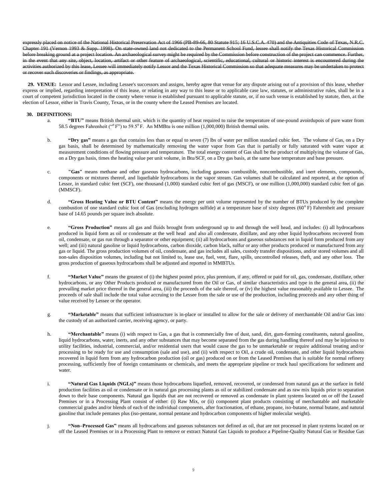expressly placed on notice of the National Historical Preservation Act of 1966 (PB-89-66, 80 Statute 915; 16 U.S.C.A. 470) and the Antiquities Code of Texas, Chapter 191 (Vernon 1993 & Supp. 1998). On state-owned land not dedicated to the Permanent School Fund, lessee shall notify the Texas Historical Comm breaking ground at a project location. An archaeological survey might be required by the Commission before construction of the project can comme event that any site, object, location, artifact or other feature of archaeological, scientific, educational, cultural or historic interest is encountered during the activities authorized by this lease, Lessee will immediately notify Lessor and the Texas Historical Commission so that adequate measures may be undertaken to protect ver such discoveries or findings, as appropriate.

 **29. VENUE:** Lessor and Lessee, including Lessee's successors and assigns, hereby agree that venue for any dispute arising out of a provision of this lease, whether express or implied, regarding interpretation of this lease, or relating in any way to this lease or to applicable case law, statutes, or administrative rules, shall be in a court of competent jurisdiction located in the county where venue is established pursuant to applicable statute, or, if no such venue is established by statute, then, at the election of Lessor, either in Travis County, Texas, or in the county where the Leased Premises are located.

#### **30. DEFINITIONS:**

- a. **"BTU"** means British thermal unit, which is the quantity of heat required to raise the temperature of one-pound avoirdupois of pure water from 58.5 degrees Fahrenheit (" $^{\circ}$ F") to 59.5 $^{\circ}$ F. An MMBtu is one million (1,000,000) British thermal units.
- b. **"Dry gas"** means a gas that contains less than or equal to seven (7) lbs of water per million standard cubic feet. The volume of Gas, on a Dry gas basis, shall be determined by mathematically removing the water vapor from Gas that is partially or fully saturated with water vapor at measurement conditions of flowing pressure and temperature. The total energy content of Gas shall be the product of multiplying the volume of Gas, on a Dry gas basis, times the heating value per unit volume, in Btu/SCF, on a Dry gas basis, at the same base temperature and base pressure.
- c. **"Gas"** means methane and other gaseous hydrocarbons, including gaseous combustible, noncombustible, and inert elements, compounds, components or mixtures thereof, and liquefiable hydrocarbons in the vapor stream. Gas volumes shall be calculated and reported, at the option of Lessor, in standard cubic feet (SCF), one thousand (1,000) standard cubic feet of gas (MSCF), or one million (1,000,000) standard cubic feet of gas (MMSCF).
- d. **"Gross Heating Value or BTU Content"** means the energy per unit volume represented by the number of BTUs produced by the complete combustion of one standard cubic foot of Gas (excluding hydrogen sulfide) at a temperature base of sixty degrees  $(60^{\circ}F)$  Fahrenheit and pressure base of 14.65 pounds per square inch absolute.
- e. **"Gross Production"** means all gas and fluids brought from underground up to and through the well head, and includes: (i) all hydrocarbons produced in liquid form as oil or condensate at the well head and also all condensate, distillate, and any other liquid hydrocarbons recovered from oil, condensate, or gas run through a separator or other equipment; (ii) all hydrocarbons and gaseous substances not in liquid form produced from any well; and (iii) natural gasoline or liquid hydrocarbons, carbon dioxide, carbon black, sulfur or any other products produced or manufactured from any gas or liquid. The gross production volumes of oil, condensate, and gas includes all sales, custody transfer dispositions, and/or stored volumes and all non-sales disposition volumes, including but not limited to, lease use, fuel, vent, flare, spills, uncontrolled releases, theft, and any other loss. The gross production of gaseous hydrocarbons shall be adjusted and reported in MMBTUs.
- f. **"Market Value"** means the greatest of (i) the highest posted price, plus premium, if any, offered or paid for oil, gas, condensate, distillate, other hydrocarbons, or any Other Products produced or manufactured from the Oil or Gas, of similar characteristics and type in the general area, (ii) the prevailing market price thereof in the general area, (iii) the proceeds of the sale thereof, or (iv) the highest value reasonably available to Lessee. The proceeds of sale shall include the total value accruing to the Lessee from the sale or use of the production, including proceeds and any other thing of value received by Lessee or the operator.
- g. **"Marketable"** means that sufficient infrastructure is in-place or installed to allow for the sale or delivery of merchantable Oil and/or Gas into the custody of an authorized carrier, receiving agency, or party.
- h. **"Merchantable"** means (i) with respect to Gas, a gas that is commercially free of dust, sand, dirt, gum-forming constituents, natural gasoline, liquid hydrocarbons, water, inerts, and any other substances that may become separated from the gas during handling thereof and may be injurious to utility facilities, industrial, commercial, and/or residential users that would cause the gas to be unmarketable or require additional treating and/or processing to be ready for use and consumption (sale and use), and (ii) with respect to Oil, a crude oil, condensate, and other liquid hydrocarbons recovered in liquid form from any hydrocarbon production (oil or gas) produced on or from the Leased Premises that is suitable for normal refinery processing, sufficiently free of foreign contaminants or chemicals, and meets the appropriate pipeline or truck haul specifications for sediment and water.
- i. **"Natural Gas Liquids (NGLs)"** means those hydrocarbons liquefied, removed, recovered, or condensed from natural gas at the surface in field production facilities as oil or condensate or in natural gas processing plants as oil or stabilized condensate and as raw mix liquids prior to separation down to their base components. Natural gas liquids that are not recovered or removed as condensate in plant systems located on or off the Leased Premises or in a Processing Plant consist of either: (i) Raw Mix, or (ii) component plant products consisting of merchantable and marketable commercial grades and/or blends of each of the individual components, after fractionation, of ethane, propane, iso-butane, normal butane, and natural gasoline that include pentanes plus (iso-pentane, normal pentane and hydrocarbon components of higher molecular weight).
- j. **"Non–Processed Gas"** means all hydrocarbons and gaseous substances not defined as oil, that are not processed in plant systems located on or off the Leased Premises or in a Processing Plant to remove or extract Natural Gas Liquids to produce a Pipeline-Quality Natural Gas or Residue Gas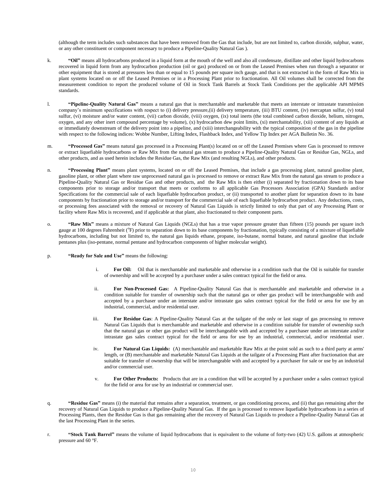(although the term includes such substances that have been removed from the Gas that include, but are not limited to, carbon dioxide, sulphur, water, or any other constituent or component necessary to produce a Pipeline-Quality Natural Gas ).

- k. **"Oil"** means all hydrocarbons produced in a liquid form at the mouth of the well and also all condensate, distillate and other liquid hydrocarbons recovered in liquid form from any hydrocarbon production (oil or gas) produced on or from the Leased Premises when run through a separator or other equipment that is stored at pressures less than or equal to 15 pounds per square inch gauge, and that is not extracted in the form of Raw Mix in plant systems located on or off the Leased Premises or in a Processing Plant prior to fractionation. All Oil volumes shall be corrected from the measurement condition to report the produced volume of Oil in Stock Tank Barrels at Stock Tank Conditions per the applicable API MPMS standards.
- l. **"Pipeline-Quality Natural Gas"** means a natural gas that is merchantable and marketable that meets an interstate or intrastate transmission company's minimum specifications with respect to (i) delivery pressure,(ii) delivery temperature, (iii) BTU content, (iv) mercaptan sulfur, (v) total sulfur, (vi) moisture and/or water content, (vii) carbon dioxide, (viii) oxygen, (ix) total inerts (the total combined carbon dioxide, helium, nitrogen, oxygen, and any other inert compound percentage by volume), (x) hydrocarbon dew point limits, (xi) merchantability, (xii) content of any liquids at or immediately downstream of the delivery point into a pipeline, and (xiii) interchangeability with the typical composition of the gas in the pipeline with respect to the following indices: Wobbe Number, Lifting Index, Flashback Index, and Yellow Tip Index per AGA Bulletin No. 36.
- m. **"Processed Gas"** means natural gas processed in a Processing Plant(s) located on or off the Leased Premises where Gas is processed to remove or extract liquefiable hydrocarbons or Raw Mix from the natural gas stream to produce a Pipeline-Quality Natural Gas or Residue Gas, NGLs, and other products, and as used herein includes the Residue Gas, the Raw Mix (and resulting NGLs), and other products.
- n. **"Processing Plant"** means plant systems, located on or off the Leased Premises, that include a gas processing plant, natural gasoline plant, gasoline plant, or other plant where raw unprocessed natural gas is processed to remove or extract Raw Mix from the natural gas stream to produce a Pipeline-Quality Natural Gas or Residue Gas and other products, and the Raw Mix is then either (i) separated by fractionation down to its base components prior to storage and/or transport that meets or conforms to all applicable Gas Processors Association (GPA) Standards and/or Specifications for the commercial sale of each liquefiable hydrocarbon product, or (ii) transported to another plant for separation down to its base components by fractionation prior to storage and/or transport for the commercial sale of each liquefiable hydrocarbon product. Any deductions, costs, or processing fees associated with the removal or recovery of Natural Gas Liquids is strictly limited to only that part of any Processing Plant or facility where Raw Mix is recovered, and if applicable at that plant, also fractionated to their component parts.
- o. **"Raw Mix"** means a mixture of Natural Gas Liquids (NGLs) that has a true vapor pressure greater than fifteen (15) pounds per square inch gauge at 100 degrees Fahrenheit (°F) prior to separation down to its base components by fractionation, typically consisting of a mixture of liquefiable hydrocarbons, including but not limited to, the natural gas liquids ethane, propane, iso-butane, normal butane, and natural gasoline that include pentanes plus (iso-pentane, normal pentane and hydrocarbon components of higher molecular weight).
- p. **"Ready for Sale and Use"** means the following:
	- i. **For Oil:** Oil that is merchantable and marketable and otherwise in a condition such that the Oil is suitable for transfer of ownership and will be accepted by a purchaser under a sales contract typical for the field or area.
	- ii. **For Non-Processed Gas:** A Pipeline-Quality Natural Gas that is merchantable and marketable and otherwise in a condition suitable for transfer of ownership such that the natural gas or other gas product will be interchangeable with and accepted by a purchaser under an interstate and/or intrastate gas sales contract typical for the field or area for use by an industrial, commercial, and/or residential user.
	- iii. **For Residue Gas**: A Pipeline-Quality Natural Gas at the tailgate of the only or last stage of gas processing to remove Natural Gas Liquids that is merchantable and marketable and otherwise in a condition suitable for transfer of ownership such that the natural gas or other gas product will be interchangeable with and accepted by a purchaser under an interstate and/or intrastate gas sales contract typical for the field or area for use by an industrial, commercial, and/or residential user.
	- iv. **For Natural Gas Liquids:** (A) merchantable and marketable Raw Mix at the point sold as such to a third party at arms' length, or (B) merchantable and marketable Natural Gas Liquids at the tailgate of a Processing Plant after fractionation that are suitable for transfer of ownership that will be interchangeable with and accepted by a purchaser for sale or use by an industrial and/or commercial user.
	- v. **For Other Products:** Products that are in a condition that will be accepted by a purchaser under a sales contract typical for the field or area for use by an industrial or commercial user.
- q. **"Residue Gas"** means (i) the material that remains after a separation, treatment, or gas conditioning process, and (ii) that gas remaining after the recovery of Natural Gas Liquids to produce a Pipeline-Quality Natural Gas. If the gas is processed to remove liquefiable hydrocarbons in a series of Processing Plants, then the Residue Gas is that gas remaining after the recovery of Natural Gas Liquids to produce a Pipeline-Quality Natural Gas at the last Processing Plant in the series.
- r. **"Stock Tank Barrel"** means the volume of liquid hydrocarbons that is equivalent to the volume of forty-two (42) U.S. gallons at atmospheric pressure and 60 °F.